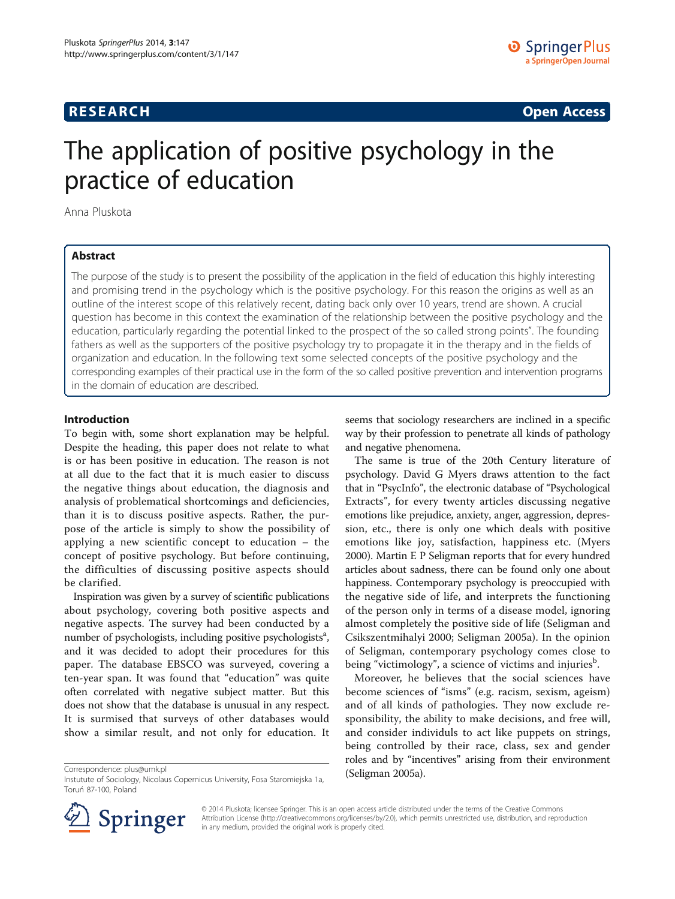# **RESEARCH RESEARCH CONSUMING ACCESS**

# The application of positive psychology in the practice of education

Anna Pluskota

## Abstract

The purpose of the study is to present the possibility of the application in the field of education this highly interesting and promising trend in the psychology which is the positive psychology. For this reason the origins as well as an outline of the interest scope of this relatively recent, dating back only over 10 years, trend are shown. A crucial question has become in this context the examination of the relationship between the positive psychology and the education, particularly regarding the potential linked to the prospect of the so called strong points". The founding fathers as well as the supporters of the positive psychology try to propagate it in the therapy and in the fields of organization and education. In the following text some selected concepts of the positive psychology and the corresponding examples of their practical use in the form of the so called positive prevention and intervention programs in the domain of education are described.

#### Introduction

To begin with, some short explanation may be helpful. Despite the heading, this paper does not relate to what is or has been positive in education. The reason is not at all due to the fact that it is much easier to discuss the negative things about education, the diagnosis and analysis of problematical shortcomings and deficiencies, than it is to discuss positive aspects. Rather, the purpose of the article is simply to show the possibility of applying a new scientific concept to education – the concept of positive psychology. But before continuing, the difficulties of discussing positive aspects should be clarified.

Inspiration was given by a survey of scientific publications about psychology, covering both positive aspects and negative aspects. The survey had been conducted by a number of psychologists, including positive psychologists<sup>a</sup>, and it was decided to adopt their procedures for this paper. The database EBSCO was surveyed, covering a ten-year span. It was found that "education" was quite often correlated with negative subject matter. But this does not show that the database is unusual in any respect. It is surmised that surveys of other databases would show a similar result, and not only for education. It

seems that sociology researchers are inclined in a specific way by their profession to penetrate all kinds of pathology and negative phenomena.

The same is true of the 20th Century literature of psychology. David G Myers draws attention to the fact that in "PsycInfo", the electronic database of "Psychological Extracts", for every twenty articles discussing negative emotions like prejudice, anxiety, anger, aggression, depression, etc., there is only one which deals with positive emotions like joy, satisfaction, happiness etc. (Myers [2000](#page-6-0)). Martin E P Seligman reports that for every hundred articles about sadness, there can be found only one about happiness. Contemporary psychology is preoccupied with the negative side of life, and interprets the functioning of the person only in terms of a disease model, ignoring almost completely the positive side of life (Seligman and Csikszentmihalyi [2000](#page-6-0); Seligman [2005a\)](#page-6-0). In the opinion of Seligman, contemporary psychology comes close to being "victimology", a science of victims and injuries<sup>b</sup>.

Moreover, he believes that the social sciences have become sciences of "isms" (e.g. racism, sexism, ageism) and of all kinds of pathologies. They now exclude responsibility, the ability to make decisions, and free will, and consider individuls to act like puppets on strings, being controlled by their race, class, sex and gender roles and by "incentives" arising from their environment



© 2014 Pluskota; licensee Springer. This is an open access article distributed under the terms of the Creative Commons Attribution License [\(http://creativecommons.org/licenses/by/2.0\)](http://creativecommons.org/licenses/by/2.0), which permits unrestricted use, distribution, and reproduction in any medium, provided the original work is properly cited.

Correspondence: [plus@umk.pl](mailto:plus@umk.pl)<br>Instutute of Sociology, Nicolaus Copernicus University, Fosa Staromiejska 1a, **(Seligman [2005a](#page-6-0)).** Toruń 87-100, Poland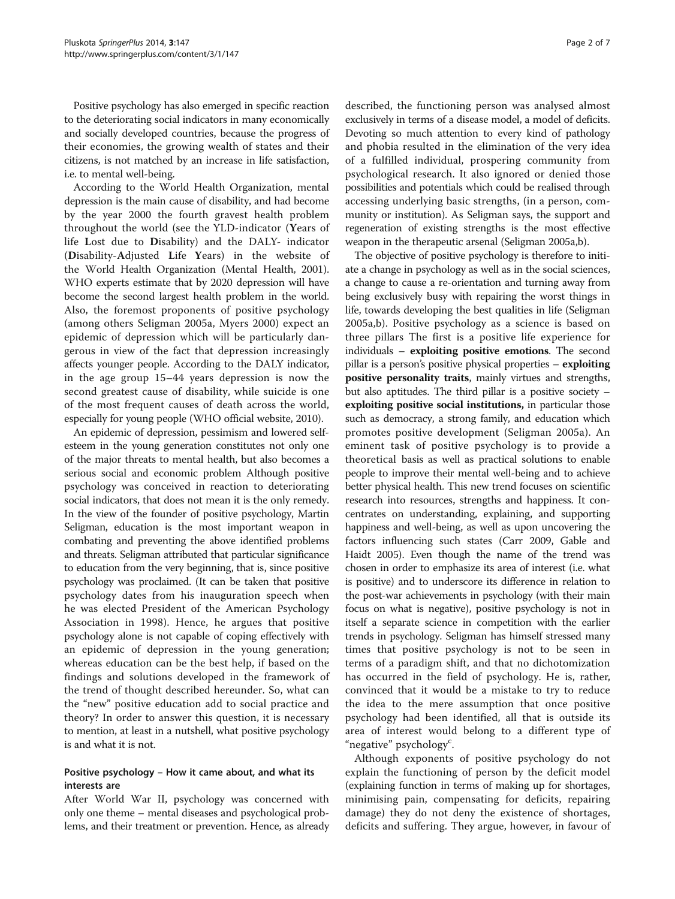Positive psychology has also emerged in specific reaction to the deteriorating social indicators in many economically and socially developed countries, because the progress of their economies, the growing wealth of states and their citizens, is not matched by an increase in life satisfaction, i.e. to mental well-being.

According to the World Health Organization, mental depression is the main cause of disability, and had become by the year 2000 the fourth gravest health problem throughout the world (see the YLD-indicator (Years of life Lost due to Disability) and the DALY- indicator (Disability-Adjusted Life Years) in the website of the World Health Organization (Mental Health, [2001](#page-6-0)). WHO experts estimate that by 2020 depression will have become the second largest health problem in the world. Also, the foremost proponents of positive psychology (among others Seligman [2005a,](#page-6-0) Myers [2000](#page-6-0)) expect an epidemic of depression which will be particularly dangerous in view of the fact that depression increasingly affects younger people. According to the DALY indicator, in the age group 15–44 years depression is now the second greatest cause of disability, while suicide is one of the most frequent causes of death across the world, especially for young people (WHO official website, 2010).

An epidemic of depression, pessimism and lowered selfesteem in the young generation constitutes not only one of the major threats to mental health, but also becomes a serious social and economic problem Although positive psychology was conceived in reaction to deteriorating social indicators, that does not mean it is the only remedy. In the view of the founder of positive psychology, Martin Seligman, education is the most important weapon in combating and preventing the above identified problems and threats. Seligman attributed that particular significance to education from the very beginning, that is, since positive psychology was proclaimed. (It can be taken that positive psychology dates from his inauguration speech when he was elected President of the American Psychology Association in 1998). Hence, he argues that positive psychology alone is not capable of coping effectively with an epidemic of depression in the young generation; whereas education can be the best help, if based on the findings and solutions developed in the framework of the trend of thought described hereunder. So, what can the "new" positive education add to social practice and theory? In order to answer this question, it is necessary to mention, at least in a nutshell, what positive psychology is and what it is not.

#### Positive psychology – How it came about, and what its interests are

After World War II, psychology was concerned with only one theme – mental diseases and psychological problems, and their treatment or prevention. Hence, as already

described, the functioning person was analysed almost exclusively in terms of a disease model, a model of deficits. Devoting so much attention to every kind of pathology and phobia resulted in the elimination of the very idea of a fulfilled individual, prospering community from psychological research. It also ignored or denied those possibilities and potentials which could be realised through accessing underlying basic strengths, (in a person, community or institution). As Seligman says, the support and regeneration of existing strengths is the most effective weapon in the therapeutic arsenal (Seligman [2005a,b\)](#page-6-0).

The objective of positive psychology is therefore to initiate a change in psychology as well as in the social sciences, a change to cause a re-orientation and turning away from being exclusively busy with repairing the worst things in life, towards developing the best qualities in life (Seligman [2005a](#page-6-0),[b\)](#page-6-0). Positive psychology as a science is based on three pillars The first is a positive life experience for individuals – exploiting positive emotions. The second pillar is a person's positive physical properties – **exploiting** positive personality traits, mainly virtues and strengths, but also aptitudes. The third pillar is a positive society – exploiting positive social institutions, in particular those such as democracy, a strong family, and education which promotes positive development (Seligman [2005a](#page-6-0)). An eminent task of positive psychology is to provide a theoretical basis as well as practical solutions to enable people to improve their mental well-being and to achieve better physical health. This new trend focuses on scientific research into resources, strengths and happiness. It concentrates on understanding, explaining, and supporting happiness and well-being, as well as upon uncovering the factors influencing such states (Carr [2009,](#page-6-0) Gable and Haidt [2005\)](#page-6-0). Even though the name of the trend was chosen in order to emphasize its area of interest (i.e. what is positive) and to underscore its difference in relation to the post-war achievements in psychology (with their main focus on what is negative), positive psychology is not in itself a separate science in competition with the earlier trends in psychology. Seligman has himself stressed many times that positive psychology is not to be seen in terms of a paradigm shift, and that no dichotomization has occurred in the field of psychology. He is, rather, convinced that it would be a mistake to try to reduce the idea to the mere assumption that once positive psychology had been identified, all that is outside its area of interest would belong to a different type of "negative" psychology<sup>c</sup>.

Although exponents of positive psychology do not explain the functioning of person by the deficit model (explaining function in terms of making up for shortages, minimising pain, compensating for deficits, repairing damage) they do not deny the existence of shortages, deficits and suffering. They argue, however, in favour of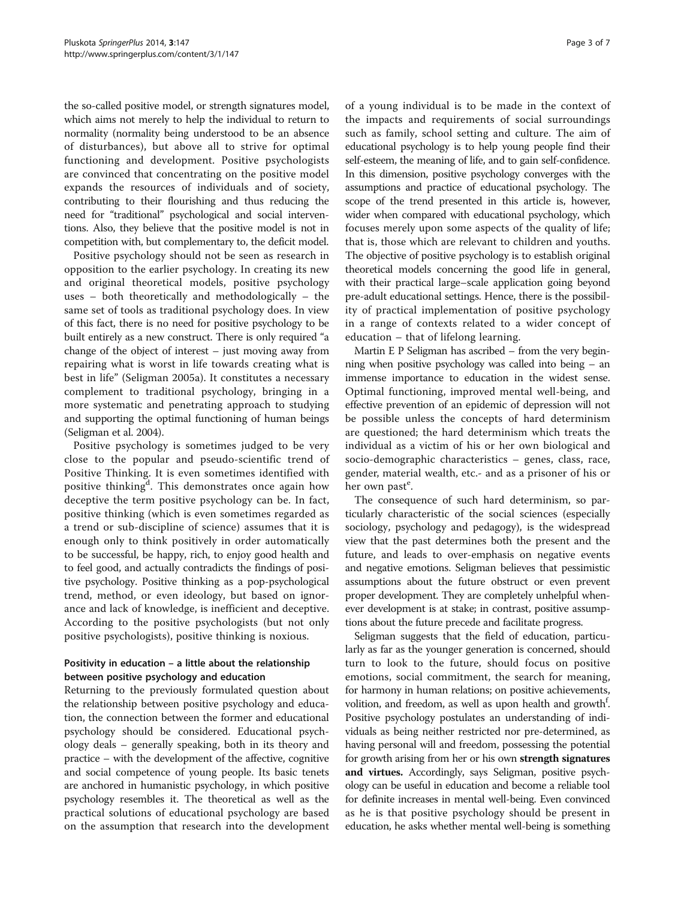the so-called positive model, or strength signatures model, which aims not merely to help the individual to return to normality (normality being understood to be an absence of disturbances), but above all to strive for optimal functioning and development. Positive psychologists are convinced that concentrating on the positive model expands the resources of individuals and of society, contributing to their flourishing and thus reducing the need for "traditional" psychological and social interventions. Also, they believe that the positive model is not in competition with, but complementary to, the deficit model.

Positive psychology should not be seen as research in opposition to the earlier psychology. In creating its new and original theoretical models, positive psychology uses – both theoretically and methodologically – the same set of tools as traditional psychology does. In view of this fact, there is no need for positive psychology to be built entirely as a new construct. There is only required "a change of the object of interest – just moving away from repairing what is worst in life towards creating what is best in life" (Seligman [2005a](#page-6-0)). It constitutes a necessary complement to traditional psychology, bringing in a more systematic and penetrating approach to studying and supporting the optimal functioning of human beings (Seligman et al. [2004\)](#page-6-0).

Positive psychology is sometimes judged to be very close to the popular and pseudo-scientific trend of Positive Thinking. It is even sometimes identified with positive thinking<sup>d</sup>. This demonstrates once again how deceptive the term positive psychology can be. In fact, positive thinking (which is even sometimes regarded as a trend or sub-discipline of science) assumes that it is enough only to think positively in order automatically to be successful, be happy, rich, to enjoy good health and to feel good, and actually contradicts the findings of positive psychology. Positive thinking as a pop-psychological trend, method, or even ideology, but based on ignorance and lack of knowledge, is inefficient and deceptive. According to the positive psychologists (but not only positive psychologists), positive thinking is noxious.

## Positivity in education – a little about the relationship between positive psychology and education

Returning to the previously formulated question about the relationship between positive psychology and education, the connection between the former and educational psychology should be considered. Educational psychology deals – generally speaking, both in its theory and practice – with the development of the affective, cognitive and social competence of young people. Its basic tenets are anchored in humanistic psychology, in which positive psychology resembles it. The theoretical as well as the practical solutions of educational psychology are based on the assumption that research into the development

of a young individual is to be made in the context of the impacts and requirements of social surroundings such as family, school setting and culture. The aim of educational psychology is to help young people find their self-esteem, the meaning of life, and to gain self-confidence. In this dimension, positive psychology converges with the assumptions and practice of educational psychology. The scope of the trend presented in this article is, however, wider when compared with educational psychology, which focuses merely upon some aspects of the quality of life; that is, those which are relevant to children and youths. The objective of positive psychology is to establish original theoretical models concerning the good life in general, with their practical large–scale application going beyond pre-adult educational settings. Hence, there is the possibility of practical implementation of positive psychology in a range of contexts related to a wider concept of education – that of lifelong learning.

Martin E P Seligman has ascribed – from the very beginning when positive psychology was called into being – an immense importance to education in the widest sense. Optimal functioning, improved mental well-being, and effective prevention of an epidemic of depression will not be possible unless the concepts of hard determinism are questioned; the hard determinism which treats the individual as a victim of his or her own biological and socio-demographic characteristics – genes, class, race, gender, material wealth, etc.- and as a prisoner of his or her own past<sup>e</sup>.

The consequence of such hard determinism, so particularly characteristic of the social sciences (especially sociology, psychology and pedagogy), is the widespread view that the past determines both the present and the future, and leads to over-emphasis on negative events and negative emotions. Seligman believes that pessimistic assumptions about the future obstruct or even prevent proper development. They are completely unhelpful whenever development is at stake; in contrast, positive assumptions about the future precede and facilitate progress.

Seligman suggests that the field of education, particularly as far as the younger generation is concerned, should turn to look to the future, should focus on positive emotions, social commitment, the search for meaning, for harmony in human relations; on positive achievements, volition, and freedom, as well as upon health and growth<sup>f</sup>. Positive psychology postulates an understanding of individuals as being neither restricted nor pre-determined, as having personal will and freedom, possessing the potential for growth arising from her or his own strength signatures and virtues. Accordingly, says Seligman, positive psychology can be useful in education and become a reliable tool for definite increases in mental well-being. Even convinced as he is that positive psychology should be present in education, he asks whether mental well-being is something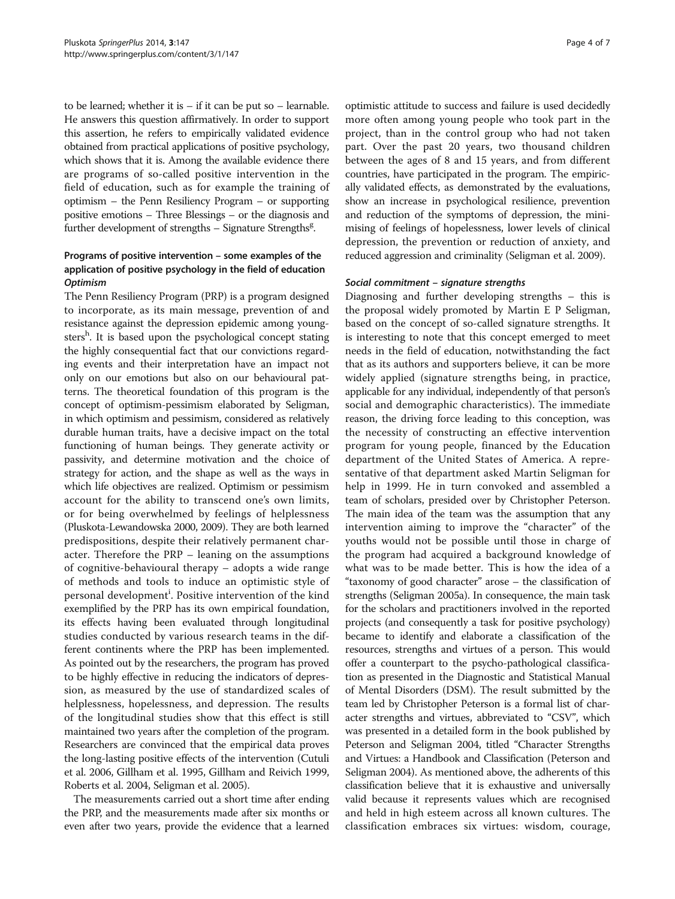to be learned; whether it is  $-$  if it can be put so  $-$  learnable. He answers this question affirmatively. In order to support this assertion, he refers to empirically validated evidence obtained from practical applications of positive psychology, which shows that it is. Among the available evidence there are programs of so-called positive intervention in the field of education, such as for example the training of optimism – the Penn Resiliency Program – or supporting positive emotions – Three Blessings – or the diagnosis and further development of strengths - Signature Strengths<sup>g</sup>.

# Programs of positive intervention – some examples of the application of positive psychology in the field of education

The Penn Resiliency Program (PRP) is a program designed to incorporate, as its main message, prevention of and resistance against the depression epidemic among youngsters<sup>h</sup>. It is based upon the psychological concept stating the highly consequential fact that our convictions regarding events and their interpretation have an impact not only on our emotions but also on our behavioural patterns. The theoretical foundation of this program is the concept of optimism-pessimism elaborated by Seligman, in which optimism and pessimism, considered as relatively durable human traits, have a decisive impact on the total functioning of human beings. They generate activity or passivity, and determine motivation and the choice of strategy for action, and the shape as well as the ways in which life objectives are realized. Optimism or pessimism account for the ability to transcend one's own limits, or for being overwhelmed by feelings of helplessness (Pluskota-Lewandowska [2000, 2009](#page-6-0)). They are both learned predispositions, despite their relatively permanent character. Therefore the PRP – leaning on the assumptions of cognitive-behavioural therapy – adopts a wide range of methods and tools to induce an optimistic style of personal development<sup>i</sup>. Positive intervention of the kind exemplified by the PRP has its own empirical foundation, its effects having been evaluated through longitudinal studies conducted by various research teams in the different continents where the PRP has been implemented. As pointed out by the researchers, the program has proved to be highly effective in reducing the indicators of depression, as measured by the use of standardized scales of helplessness, hopelessness, and depression. The results of the longitudinal studies show that this effect is still maintained two years after the completion of the program. Researchers are convinced that the empirical data proves the long-lasting positive effects of the intervention (Cutuli et al. [2006](#page-6-0), Gillham et al. [1995](#page-6-0), Gillham and Reivich [1999](#page-6-0), Roberts et al. [2004,](#page-6-0) Seligman et al. [2005](#page-6-0)).

The measurements carried out a short time after ending the PRP, and the measurements made after six months or even after two years, provide the evidence that a learned optimistic attitude to success and failure is used decidedly more often among young people who took part in the project, than in the control group who had not taken part. Over the past 20 years, two thousand children between the ages of 8 and 15 years, and from different countries, have participated in the program. The empirically validated effects, as demonstrated by the evaluations, show an increase in psychological resilience, prevention and reduction of the symptoms of depression, the minimising of feelings of hopelessness, lower levels of clinical depression, the prevention or reduction of anxiety, and reduced aggression and criminality (Seligman et al. [2009](#page-6-0)).

#### Social commitment – signature strengths

Diagnosing and further developing strengths – this is the proposal widely promoted by Martin E P Seligman, based on the concept of so-called signature strengths. It is interesting to note that this concept emerged to meet needs in the field of education, notwithstanding the fact that as its authors and supporters believe, it can be more widely applied (signature strengths being, in practice, applicable for any individual, independently of that person's social and demographic characteristics). The immediate reason, the driving force leading to this conception, was the necessity of constructing an effective intervention program for young people, financed by the Education department of the United States of America. A representative of that department asked Martin Seligman for help in 1999. He in turn convoked and assembled a team of scholars, presided over by Christopher Peterson. The main idea of the team was the assumption that any intervention aiming to improve the "character" of the youths would not be possible until those in charge of the program had acquired a background knowledge of what was to be made better. This is how the idea of a "taxonomy of good character" arose – the classification of strengths (Seligman [2005a\)](#page-6-0). In consequence, the main task for the scholars and practitioners involved in the reported projects (and consequently a task for positive psychology) became to identify and elaborate a classification of the resources, strengths and virtues of a person. This would offer a counterpart to the psycho-pathological classification as presented in the Diagnostic and Statistical Manual of Mental Disorders (DSM). The result submitted by the team led by Christopher Peterson is a formal list of character strengths and virtues, abbreviated to "CSV", which was presented in a detailed form in the book published by Peterson and Seligman [2004,](#page-6-0) titled "Character Strengths and Virtues: a Handbook and Classification (Peterson and Seligman [2004\)](#page-6-0). As mentioned above, the adherents of this classification believe that it is exhaustive and universally valid because it represents values which are recognised and held in high esteem across all known cultures. The classification embraces six virtues: wisdom, courage,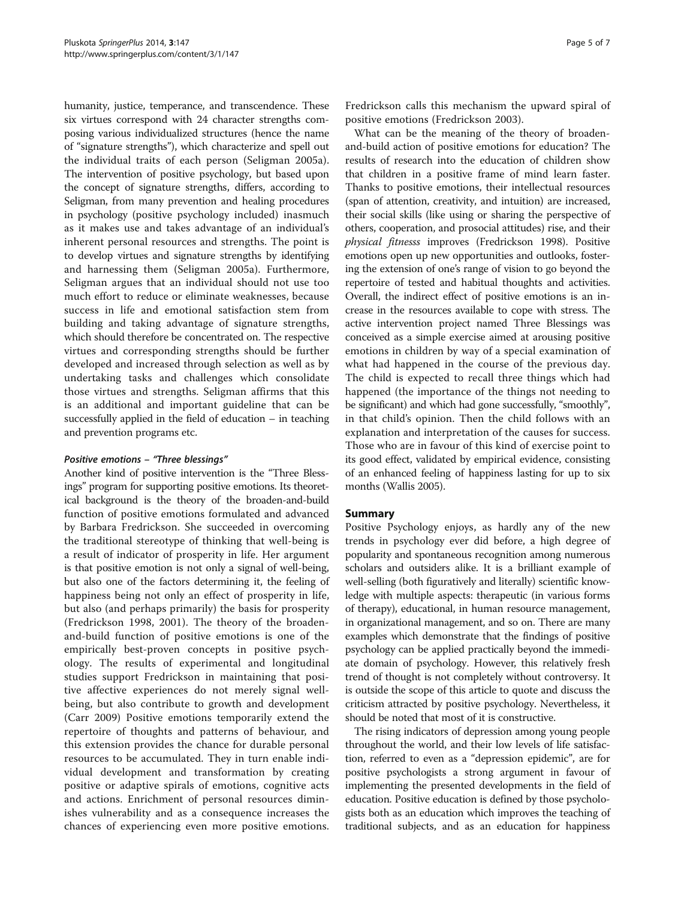humanity, justice, temperance, and transcendence. These six virtues correspond with 24 character strengths composing various individualized structures (hence the name of "signature strengths"), which characterize and spell out the individual traits of each person (Seligman [2005a](#page-6-0)). The intervention of positive psychology, but based upon the concept of signature strengths, differs, according to Seligman, from many prevention and healing procedures in psychology (positive psychology included) inasmuch as it makes use and takes advantage of an individual's inherent personal resources and strengths. The point is to develop virtues and signature strengths by identifying and harnessing them (Seligman [2005a\)](#page-6-0). Furthermore, Seligman argues that an individual should not use too much effort to reduce or eliminate weaknesses, because success in life and emotional satisfaction stem from building and taking advantage of signature strengths, which should therefore be concentrated on. The respective virtues and corresponding strengths should be further developed and increased through selection as well as by undertaking tasks and challenges which consolidate those virtues and strengths. Seligman affirms that this is an additional and important guideline that can be successfully applied in the field of education – in teaching and prevention programs etc.

## Positive emotions – "Three blessings"

Another kind of positive intervention is the "Three Blessings" program for supporting positive emotions. Its theoretical background is the theory of the broaden-and-build function of positive emotions formulated and advanced by Barbara Fredrickson. She succeeded in overcoming the traditional stereotype of thinking that well-being is a result of indicator of prosperity in life. Her argument is that positive emotion is not only a signal of well-being, but also one of the factors determining it, the feeling of happiness being not only an effect of prosperity in life, but also (and perhaps primarily) the basis for prosperity (Fredrickson [1998, 2001\)](#page-6-0). The theory of the broadenand-build function of positive emotions is one of the empirically best-proven concepts in positive psychology. The results of experimental and longitudinal studies support Fredrickson in maintaining that positive affective experiences do not merely signal wellbeing, but also contribute to growth and development (Carr [2009](#page-6-0)) Positive emotions temporarily extend the repertoire of thoughts and patterns of behaviour, and this extension provides the chance for durable personal resources to be accumulated. They in turn enable individual development and transformation by creating positive or adaptive spirals of emotions, cognitive acts and actions. Enrichment of personal resources diminishes vulnerability and as a consequence increases the chances of experiencing even more positive emotions.

Fredrickson calls this mechanism the upward spiral of positive emotions (Fredrickson [2003\)](#page-6-0).

What can be the meaning of the theory of broadenand-build action of positive emotions for education? The results of research into the education of children show that children in a positive frame of mind learn faster. Thanks to positive emotions, their intellectual resources (span of attention, creativity, and intuition) are increased, their social skills (like using or sharing the perspective of others, cooperation, and prosocial attitudes) rise, and their physical fitnesss improves (Fredrickson [1998](#page-6-0)). Positive emotions open up new opportunities and outlooks, fostering the extension of one's range of vision to go beyond the repertoire of tested and habitual thoughts and activities. Overall, the indirect effect of positive emotions is an increase in the resources available to cope with stress. The active intervention project named Three Blessings was conceived as a simple exercise aimed at arousing positive emotions in children by way of a special examination of what had happened in the course of the previous day. The child is expected to recall three things which had happened (the importance of the things not needing to be significant) and which had gone successfully, "smoothly", in that child's opinion. Then the child follows with an explanation and interpretation of the causes for success. Those who are in favour of this kind of exercise point to its good effect, validated by empirical evidence, consisting of an enhanced feeling of happiness lasting for up to six months (Wallis [2005\)](#page-6-0).

#### **Summary**

Positive Psychology enjoys, as hardly any of the new trends in psychology ever did before, a high degree of popularity and spontaneous recognition among numerous scholars and outsiders alike. It is a brilliant example of well-selling (both figuratively and literally) scientific knowledge with multiple aspects: therapeutic (in various forms of therapy), educational, in human resource management, in organizational management, and so on. There are many examples which demonstrate that the findings of positive psychology can be applied practically beyond the immediate domain of psychology. However, this relatively fresh trend of thought is not completely without controversy. It is outside the scope of this article to quote and discuss the criticism attracted by positive psychology. Nevertheless, it should be noted that most of it is constructive.

The rising indicators of depression among young people throughout the world, and their low levels of life satisfaction, referred to even as a "depression epidemic", are for positive psychologists a strong argument in favour of implementing the presented developments in the field of education. Positive education is defined by those psychologists both as an education which improves the teaching of traditional subjects, and as an education for happiness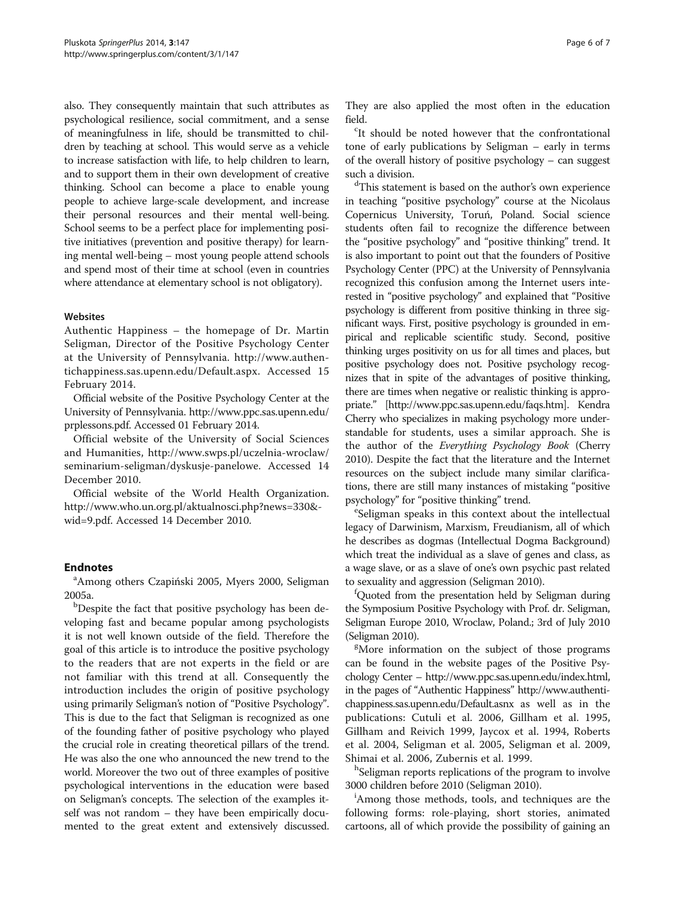also. They consequently maintain that such attributes as psychological resilience, social commitment, and a sense of meaningfulness in life, should be transmitted to children by teaching at school. This would serve as a vehicle to increase satisfaction with life, to help children to learn, and to support them in their own development of creative thinking. School can become a place to enable young people to achieve large-scale development, and increase their personal resources and their mental well-being. School seems to be a perfect place for implementing positive initiatives (prevention and positive therapy) for learning mental well-being – most young people attend schools and spend most of their time at school (even in countries where attendance at elementary school is not obligatory).

#### **Websites**

Authentic Happiness – the homepage of Dr. Martin Seligman, Director of the Positive Psychology Center at the University of Pennsylvania. [http://www.authen](http://www.authentichappiness.sas.upenn.edu/Default.aspx)[tichappiness.sas.upenn.edu/Default.aspx](http://www.authentichappiness.sas.upenn.edu/Default.aspx). Accessed 15 February 2014.

Official website of the Positive Psychology Center at the University of Pennsylvania. [http://www.ppc.sas.upenn.edu/](http://www.ppc.sas.upenn.edu/prplessons.pdf) [prplessons.pdf.](http://www.ppc.sas.upenn.edu/prplessons.pdf) Accessed 01 February 2014.

Official website of the University of Social Sciences and Humanities, [http://www.swps.pl/uczelnia-wroclaw/](http://www.swps.pl/uczelnia-wroclaw/seminarium-seligman/dyskusje-panelowe) [seminarium-seligman/dyskusje-panelowe](http://www.swps.pl/uczelnia-wroclaw/seminarium-seligman/dyskusje-panelowe). Accessed 14 December 2010.

Official website of the World Health Organization. [http://www.who.un.org.pl/aktualnosci.php?news=330&](http://www.who.un.org.pl/aktualnosci.php?news=330&wid=9.pdf) [wid=9.pdf](http://www.who.un.org.pl/aktualnosci.php?news=330&wid=9.pdf). Accessed 14 December 2010.

#### Endnotes

<sup>a</sup> Among others Czapiński [2005,](#page-6-0) Myers [2000,](#page-6-0) Seligman [2005a.](#page-6-0)

<sup>b</sup>Despite the fact that positive psychology has been developing fast and became popular among psychologists it is not well known outside of the field. Therefore the goal of this article is to introduce the positive psychology to the readers that are not experts in the field or are not familiar with this trend at all. Consequently the introduction includes the origin of positive psychology using primarily Seligman's notion of "Positive Psychology". This is due to the fact that Seligman is recognized as one of the founding father of positive psychology who played the crucial role in creating theoretical pillars of the trend. He was also the one who announced the new trend to the world. Moreover the two out of three examples of positive psychological interventions in the education were based on Seligman's concepts. The selection of the examples itself was not random – they have been empirically documented to the great extent and extensively discussed. They are also applied the most often in the education  $field$ 

<sup>c</sup>It should be noted however that the confrontational tone of early publications by Seligman – early in terms of the overall history of positive psychology – can suggest such a division.

<sup>d</sup>This statement is based on the author's own experience in teaching "positive psychology" course at the Nicolaus Copernicus University, Toruń, Poland. Social science students often fail to recognize the difference between the "positive psychology" and "positive thinking" trend. It is also important to point out that the founders of Positive Psychology Center (PPC) at the University of Pennsylvania recognized this confusion among the Internet users interested in "positive psychology" and explained that "Positive psychology is different from positive thinking in three significant ways. First, positive psychology is grounded in empirical and replicable scientific study. Second, positive thinking urges positivity on us for all times and places, but positive psychology does not. Positive psychology recognizes that in spite of the advantages of positive thinking, there are times when negative or realistic thinking is appropriate." [\[http://www.ppc.sas.upenn.edu/faqs.htm](http://www.ppc.sas.upenn.edu/faqs.htm)]. Kendra Cherry who specializes in making psychology more understandable for students, uses a similar approach. She is the author of the Everything Psychology Book (Cherry [2010](#page-6-0)). Despite the fact that the literature and the Internet resources on the subject include many similar clarifications, there are still many instances of mistaking "positive psychology" for "positive thinking" trend.

Seligman speaks in this context about the intellectual legacy of Darwinism, Marxism, Freudianism, all of which he describes as dogmas (Intellectual Dogma Background) which treat the individual as a slave of genes and class, as a wage slave, or as a slave of one's own psychic past related to sexuality and aggression (Seligman [2010\)](#page-6-0).

f Quoted from the presentation held by Seligman during the Symposium Positive Psychology with Prof. dr. Seligman, Seligman Europe 2010, Wroclaw, Poland.; 3rd of July 2010 (Seligman [2010\)](#page-6-0).

<sup>g</sup>More information on the subject of those programs can be found in the website pages of the Positive Psychology Center – <http://www.ppc.sas.upenn.edu/index.html>, in the pages of "Authentic Happiness" [http://www.authenti](http://www.authentichappiness.sas.upenn.edu/Default.asnx)[chappiness.sas.upenn.edu/Default.asnx](http://www.authentichappiness.sas.upenn.edu/Default.asnx) as well as in the publications: Cutuli et al. [2006](#page-6-0), Gillham et al. [1995](#page-6-0), Gillham and Reivich [1999,](#page-6-0) Jaycox et al. [1994](#page-6-0), Roberts et al. [2004,](#page-6-0) Seligman et al. [2005](#page-6-0), Seligman et al. [2009](#page-6-0), Shimai et al. [2006](#page-6-0), Zubernis et al. [1999.](#page-6-0)

hSeligman reports replications of the program to involve 3000 children before 2010 (Seligman [2010\)](#page-6-0). <sup>i</sup>

Among those methods, tools, and techniques are the following forms: role-playing, short stories, animated cartoons, all of which provide the possibility of gaining an